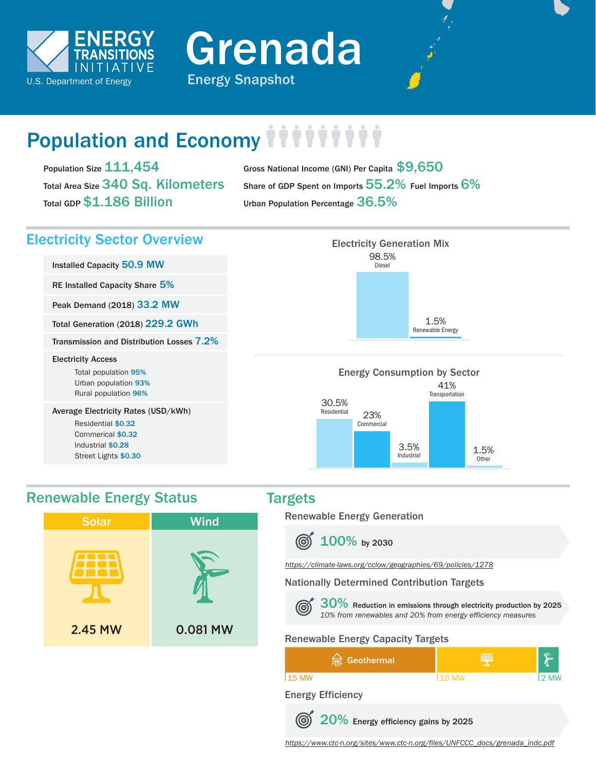

Grenada



# Population and Economy *iiiiiii*

Population Size 111,454 Total Area Size 340 Sq. Kilometers Total GDP \$1.186 Billion

Gross National Income (GNI) Per Capita \$9,650 Share of GDP Spent on Imports 55.2% Fuel Imports 6% Urban Population Percentage 36.5%

### Electricity Sector Overview

Installed Capacity 50.9 MW

RE Installed Capacity Share 5%

Peak Demand (2018) 33.2 MW

Total Generation (2018) 229.2 GWh

Transmission and Distribution Losses 7.2%

#### Electricity Access

Total population 95% Urban population 93% Rural population 96%

Average Electricity Rates (USD/kWh)

Residential \$0.32 Commerical \$0.32 Industrial \$0.28 Street Lights \$0.30

## Electricity Generation Mix 98.5% Diesel 1.5% Renewable Energy

#### Energy Consumption by Sector 30.5% 41% **Transportation**



### Renewable Energy Status Targets



Renewable Energy Generation



*<https://climate-laws.org/cclow/geographies/69/policies/1278>*

### Nationally Determined Contribution Targets



30% Reduction in emissions through electricity production by 2025 *10% from renewables and 20% from energy efficiency measures*

### Renewable Energy Capacity Targets

| <b>Imi</b> Geothermal | Ŧ      |      |
|-----------------------|--------|------|
| 115 MW                | 110 MW | 2 MW |

#### Energy Efficiency



20% Energy efficiency gains by 2025

*[https://www.ctc-n.org/sites/www.ctc-n.org/files/UNFCCC\\_docs/grenada\\_indc.pdf](https://www.ctc-n.org/sites/www.ctc-n.org/files/UNFCCC_docs/grenada_indc.pdf)*